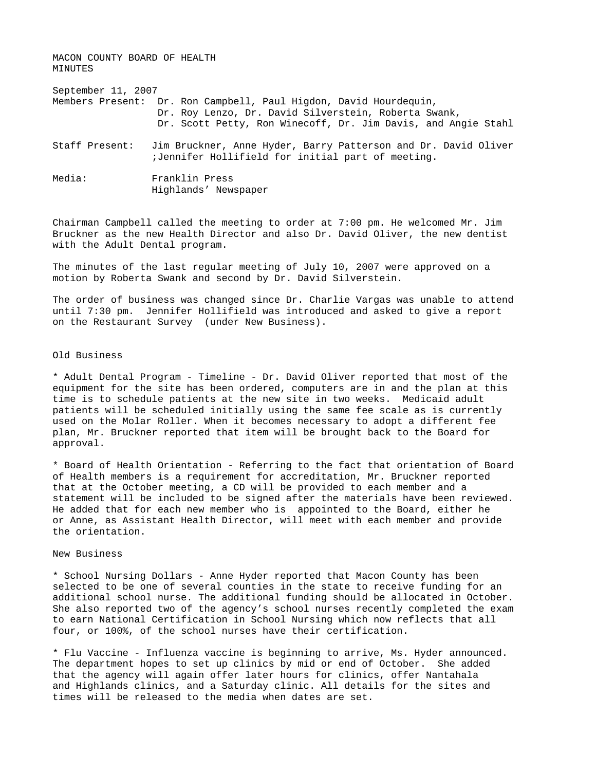MACON COUNTY BOARD OF HEALTH MINUTES September 11, 2007 Members Present: Dr. Ron Campbell, Paul Higdon, David Hourdequin, Dr. Roy Lenzo, Dr. David Silverstein, Roberta Swank, Dr. Scott Petty, Ron Winecoff, Dr. Jim Davis, and Angie Stahl Staff Present: Jim Bruckner, Anne Hyder, Barry Patterson and Dr. David Oliver ;Jennifer Hollifield for initial part of meeting.

Media: Franklin Press Highlands' Newspaper

Chairman Campbell called the meeting to order at 7:00 pm. He welcomed Mr. Jim Bruckner as the new Health Director and also Dr. David Oliver, the new dentist with the Adult Dental program.

The minutes of the last regular meeting of July 10, 2007 were approved on a motion by Roberta Swank and second by Dr. David Silverstein.

The order of business was changed since Dr. Charlie Vargas was unable to attend until 7:30 pm. Jennifer Hollifield was introduced and asked to give a report on the Restaurant Survey (under New Business).

## Old Business

\* Adult Dental Program - Timeline - Dr. David Oliver reported that most of the equipment for the site has been ordered, computers are in and the plan at this time is to schedule patients at the new site in two weeks. Medicaid adult patients will be scheduled initially using the same fee scale as is currently used on the Molar Roller. When it becomes necessary to adopt a different fee plan, Mr. Bruckner reported that item will be brought back to the Board for approval.

\* Board of Health Orientation - Referring to the fact that orientation of Board of Health members is a requirement for accreditation, Mr. Bruckner reported that at the October meeting, a CD will be provided to each member and a statement will be included to be signed after the materials have been reviewed. He added that for each new member who is appointed to the Board, either he or Anne, as Assistant Health Director, will meet with each member and provide the orientation.

## New Business

\* School Nursing Dollars - Anne Hyder reported that Macon County has been selected to be one of several counties in the state to receive funding for an additional school nurse. The additional funding should be allocated in October. She also reported two of the agency's school nurses recently completed the exam to earn National Certification in School Nursing which now reflects that all four, or 100%, of the school nurses have their certification.

\* Flu Vaccine - Influenza vaccine is beginning to arrive, Ms. Hyder announced. The department hopes to set up clinics by mid or end of October. She added that the agency will again offer later hours for clinics, offer Nantahala and Highlands clinics, and a Saturday clinic. All details for the sites and times will be released to the media when dates are set.